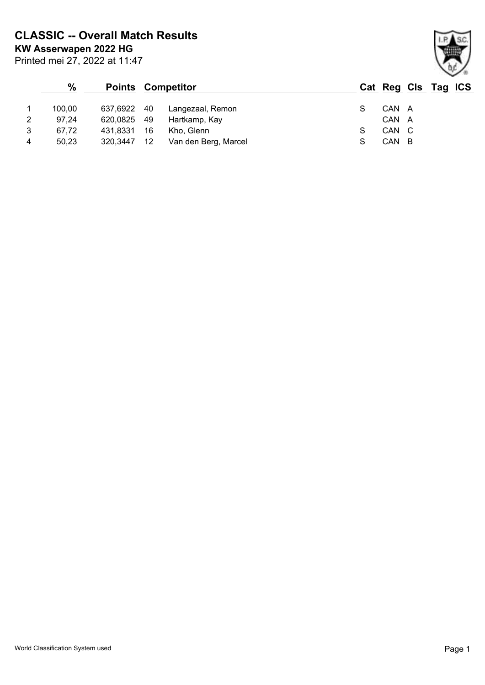**KW Asserwapen 2022 HG CLASSIC -- Overall Match Results**

|   | $\frac{9}{6}$ |             | <b>Points Competitor</b> |                      |       |     | Cat Reg Cls Tag ICS |  |
|---|---------------|-------------|--------------------------|----------------------|-------|-----|---------------------|--|
|   | 100.00        | 637,6922 40 |                          | Langezaal, Remon     | CAN A |     |                     |  |
| 2 | 97.24         | 620,0825 49 |                          | Hartkamp, Kay        | CAN A |     |                     |  |
| 3 | 67.72         | 431,8331    | 16                       | Kho, Glenn           | CAN C |     |                     |  |
| 4 | 50,23         | 320,3447    | 12                       | Van den Berg, Marcel | CAN   | - B |                     |  |

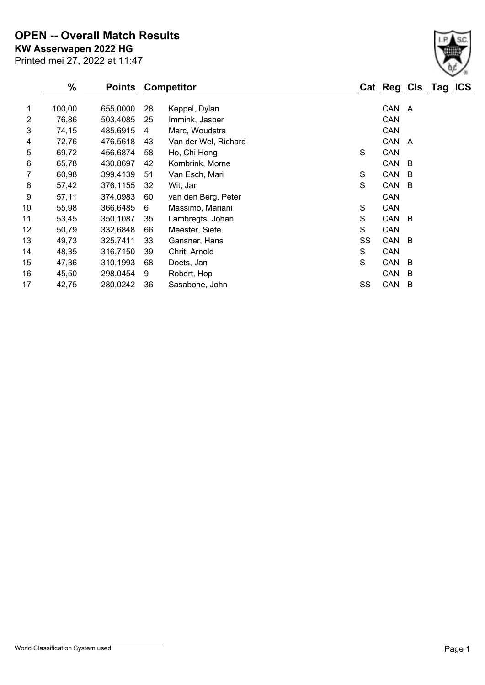Printed mei 27, 2022 at 11:47 **KW Asserwapen 2022 HG OPEN -- Overall Match Results**

|    | $\%$   | <b>Points</b> | <b>Competitor</b> |                      |    | Cat Reg Cls Tag ICS |     |  |
|----|--------|---------------|-------------------|----------------------|----|---------------------|-----|--|
| 1  | 100,00 | 655,0000      | 28                | Keppel, Dylan        |    | CAN A               |     |  |
| 2  | 76,86  | 503,4085      | 25                | Immink, Jasper       |    | CAN                 |     |  |
| 3  | 74,15  | 485,6915      | 4                 | Marc, Woudstra       |    | CAN                 |     |  |
| 4  | 72,76  | 476,5618      | 43                | Van der Wel, Richard |    | CAN                 | A   |  |
| 5  | 69,72  | 456,6874      | 58                | Ho, Chi Hong         | S  | CAN                 |     |  |
| 6  | 65,78  | 430,8697      | 42                | Kombrink, Morne      |    | CAN                 | - B |  |
| 7  | 60,98  | 399,4139      | 51                | Van Esch, Mari       | S  | CAN                 | - B |  |
| 8  | 57,42  | 376,1155      | 32                | Wit, Jan             | S  | CAN                 | - B |  |
| 9  | 57,11  | 374,0983      | 60                | van den Berg, Peter  |    | CAN                 |     |  |
| 10 | 55,98  | 366,6485      | 6                 | Massimo, Mariani     | S  | CAN                 |     |  |
| 11 | 53,45  | 350,1087      | 35                | Lambregts, Johan     | S  | CAN B               |     |  |
| 12 | 50,79  | 332,6848      | 66                | Meester, Siete       | S  | CAN                 |     |  |
| 13 | 49,73  | 325,7411      | 33                | Gansner, Hans        | SS | CAN B               |     |  |
| 14 | 48,35  | 316,7150      | 39                | Chrit, Arnold        | S  | CAN                 |     |  |
| 15 | 47,36  | 310,1993      | 68                | Doets, Jan           | S  | CAN                 | -B  |  |
| 16 | 45,50  | 298,0454      | 9                 | Robert, Hop          |    | CAN                 | B   |  |
| 17 | 42,75  | 280,0242      | 36                | Sasabone, John       | SS | CAN                 | B   |  |

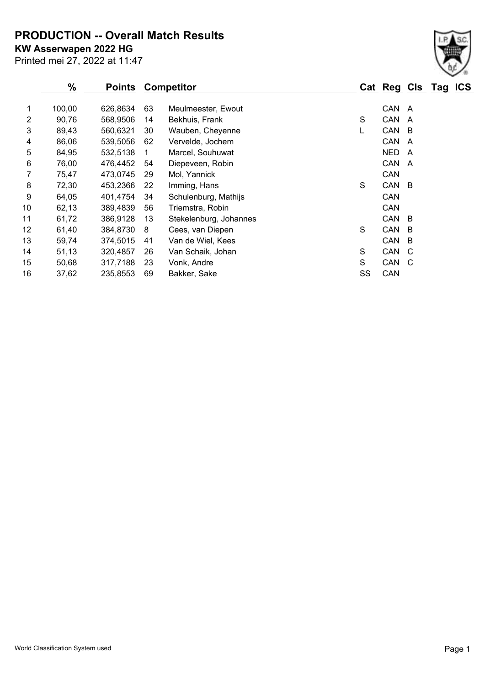**PRODUCTION -- Overall Match Results**

Printed mei 27, 2022 at 11:47 **KW Asserwapen 2022 HG**

|                | %      | <b>Points</b> |    | <b>Competitor</b>      |    | Cat Reg Cls Tag ICS |              |  |
|----------------|--------|---------------|----|------------------------|----|---------------------|--------------|--|
| 1              | 100,00 | 626,8634      | 63 | Meulmeester, Ewout     |    | CAN A               |              |  |
| $\overline{2}$ | 90,76  | 568,9506      | 14 | Bekhuis, Frank         | S  | CAN                 | A            |  |
| 3              | 89,43  | 560,6321      | 30 | Wauben, Cheyenne       | L  | CAN                 | - B          |  |
| 4              | 86,06  | 539,5056      | 62 | Vervelde, Jochem       |    | CAN                 | A            |  |
| 5              | 84,95  | 532,5138      |    | Marcel, Souhuwat       |    | <b>NED</b>          | A            |  |
| 6              | 76,00  | 476,4452      | 54 | Diepeveen, Robin       |    | CAN                 | A            |  |
| 7              | 75,47  | 473,0745      | 29 | Mol, Yannick           |    | CAN                 |              |  |
| 8              | 72,30  | 453,2366      | 22 | Imming, Hans           | S  | CAN                 | - B          |  |
| 9              | 64,05  | 401,4754      | 34 | Schulenburg, Mathijs   |    | <b>CAN</b>          |              |  |
| 10             | 62,13  | 389,4839      | 56 | Triemstra, Robin       |    | CAN                 |              |  |
| 11             | 61,72  | 386,9128      | 13 | Stekelenburg, Johannes |    | CAN                 | - B          |  |
| 12             | 61,40  | 384,8730      | 8  | Cees, van Diepen       | S  | CAN                 | B            |  |
| 13             | 59,74  | 374,5015      | 41 | Van de Wiel, Kees      |    | CAN                 | B            |  |
| 14             | 51,13  | 320,4857      | 26 | Van Schaik, Johan      | S  | CAN                 | C            |  |
| 15             | 50,68  | 317,7188      | 23 | Vonk, Andre            | S  | CAN                 | <sub>C</sub> |  |
| 16             | 37,62  | 235,8553      | 69 | Bakker, Sake           | SS | CAN                 |              |  |

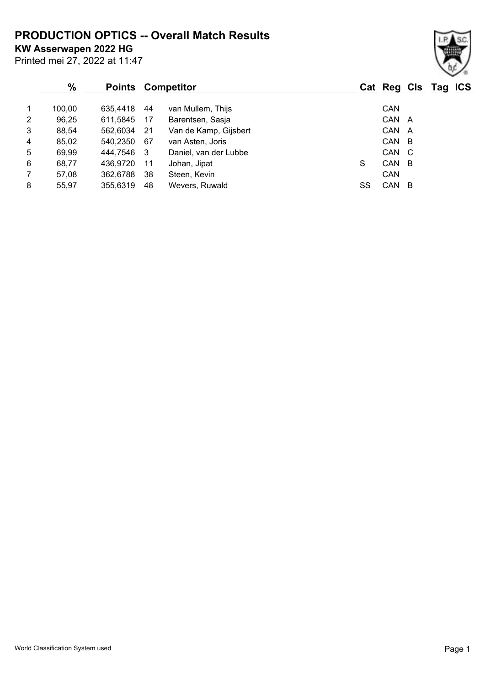**PRODUCTION OPTICS -- Overall Match Results**

**KW Asserwapen 2022 HG**

Printed mei 27, 2022 at 11:47

#### **% Points Competitor Cat Reg Cls Tag ICS** 1 100,00 635,4418 44 van Mullem, Thijs CAN 2 96,25 611,5845 17 Barentsen, Sasja CAN A 3 88,54 562,6034 21 Van de Kamp, Gijsbert CAN A 4 85,02 540,2350 67 van Asten, Joris CAN B 5 69,99 444,7546 3 Daniel, van der Lubbe CAN C 6 68,77 436,9720 11 Johan, Jipat S CAN B 7 57,08 362,6788 38 Steen, Kevin CAN

8 55,97 355,6319 48 Wevers, Ruwald SS CAN B

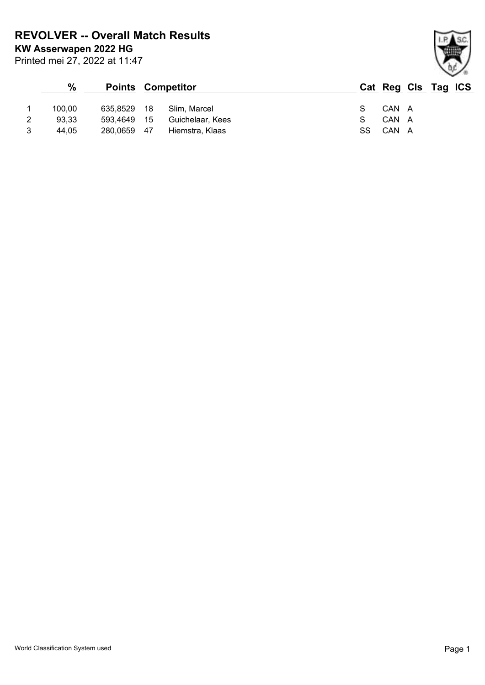**KW Asserwapen 2022 HG REVOLVER -- Overall Match Results**

Printed mei 27, 2022 at 11:47

### **% Points Competitor Cat Reg Cls Tag ICS** 1 100,00 635,8529 18 Slim, Marcel 3 3 CAN A 2 93,33 593,4649 15 Guichelaar, Kees S CAN A 3 44,05 280,0659 47 Hiemstra, Klaas SS CAN A

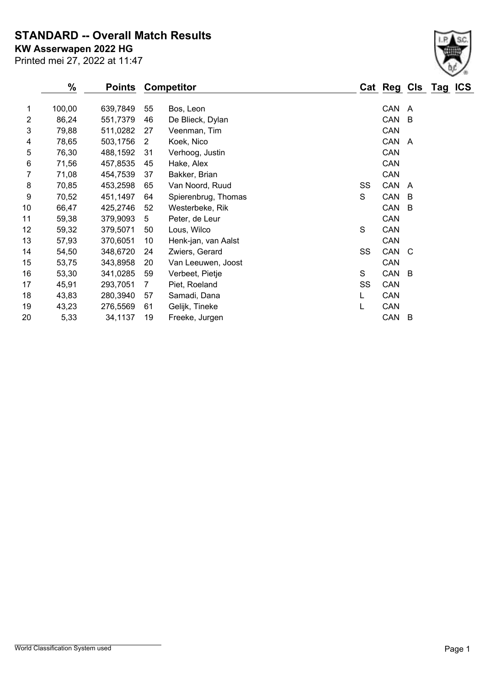**STANDARD -- Overall Match Results**

Printed mei 27, 2022 at 11:47 **KW Asserwapen 2022 HG**

|    | $\%$   | <b>Points</b> |                | <b>Competitor</b>   |    | Cat Reg Cls Tag |     | <b>ICS</b> |
|----|--------|---------------|----------------|---------------------|----|-----------------|-----|------------|
| 1  | 100,00 | 639,7849      | 55             | Bos, Leon           |    | CAN             | A   |            |
| 2  | 86,24  | 551,7379      | 46             | De Blieck, Dylan    |    | CAN             | B   |            |
| 3  | 79,88  | 511,0282      | 27             | Veenman, Tim        |    | CAN             |     |            |
| 4  | 78,65  | 503,1756      | $\overline{2}$ | Koek, Nico          |    | CAN             | A   |            |
| 5  | 76,30  | 488,1592      | 31             | Verhoog, Justin     |    | CAN             |     |            |
| 6  | 71,56  | 457,8535      | 45             | Hake, Alex          |    | CAN             |     |            |
| 7  | 71,08  | 454,7539      | 37             | Bakker, Brian       |    | CAN             |     |            |
| 8  | 70,85  | 453,2598      | 65             | Van Noord, Ruud     | SS | CAN             | A   |            |
| 9  | 70,52  | 451,1497      | 64             | Spierenbrug, Thomas | S  | CAN             | B   |            |
| 10 | 66,47  | 425,2746      | 52             | Westerbeke, Rik     |    | CAN             | B   |            |
| 11 | 59,38  | 379,9093      | 5              | Peter, de Leur      |    | CAN             |     |            |
| 12 | 59,32  | 379,5071      | 50             | Lous, Wilco         | S  | CAN             |     |            |
| 13 | 57,93  | 370,6051      | 10             | Henk-jan, van Aalst |    | CAN             |     |            |
| 14 | 54,50  | 348,6720      | 24             | Zwiers, Gerard      | SS | CAN             | - C |            |
| 15 | 53,75  | 343,8958      | 20             | Van Leeuwen, Joost  |    | CAN             |     |            |
| 16 | 53,30  | 341,0285      | 59             | Verbeet, Pietje     | S  | CAN             | - B |            |
| 17 | 45,91  | 293,7051      | $\overline{7}$ | Piet, Roeland       | SS | CAN             |     |            |
| 18 | 43,83  | 280,3940      | 57             | Samadi, Dana        | L  | CAN             |     |            |
| 19 | 43,23  | 276,5569      | 61             | Gelijk, Tineke      | L  | CAN             |     |            |
| 20 | 5,33   | 34,1137       | 19             | Freeke, Jurgen      |    | CAN             | B   |            |